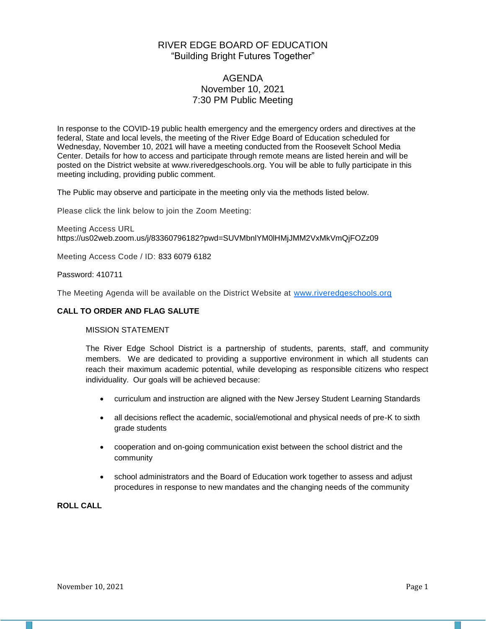# RIVER EDGE BOARD OF EDUCATION "Building Bright Futures Together"

# AGENDA November 10, 2021 7:30 PM Public Meeting

In response to the COVID-19 public health emergency and the emergency orders and directives at the federal, State and local levels, the meeting of the River Edge Board of Education scheduled for Wednesday, November 10, 2021 will have a meeting conducted from the Roosevelt School Media Center. Details for how to access and participate through remote means are listed herein and will be posted on the District website at www.riveredgeschools.org. You will be able to fully participate in this meeting including, providing public comment.

The Public may observe and participate in the meeting only via the methods listed below.

Please click the link below to join the Zoom Meeting:

Meeting Access URL https://us02web.zoom.us/j/83360796182?pwd=SUVMbnlYM0lHMjJMM2VxMkVmQjFOZz09

Meeting Access Code / ID: 833 6079 6182

Password: 410711

The Meeting Agenda will be available on the District Website at www[.riveredgeschools.org](http://riveredgeschools.org/)

### **CALL TO ORDER AND FLAG SALUTE**

### MISSION STATEMENT

The River Edge School District is a partnership of students, parents, staff, and community members. We are dedicated to providing a supportive environment in which all students can reach their maximum academic potential, while developing as responsible citizens who respect individuality. Our goals will be achieved because:

- curriculum and instruction are aligned with the New Jersey Student Learning Standards
- all decisions reflect the academic, social/emotional and physical needs of pre-K to sixth grade students
- cooperation and on-going communication exist between the school district and the community
- school administrators and the Board of Education work together to assess and adjust procedures in response to new mandates and the changing needs of the community

**ROLL CALL**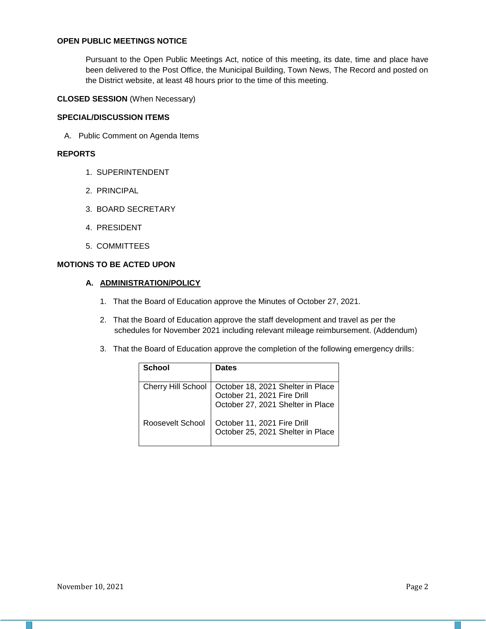### **OPEN PUBLIC MEETINGS NOTICE**

Pursuant to the Open Public Meetings Act, notice of this meeting, its date, time and place have been delivered to the Post Office, the Municipal Building, Town News, The Record and posted on the District website, at least 48 hours prior to the time of this meeting.

**CLOSED SESSION** (When Necessary)

#### **SPECIAL/DISCUSSION ITEMS**

A. Public Comment on Agenda Items

## **REPORTS**

- 1. SUPERINTENDENT
- 2. PRINCIPAL
- 3. BOARD SECRETARY
- 4. PRESIDENT
- 5. COMMITTEES

## **MOTIONS TO BE ACTED UPON**

### **A. ADMINISTRATION/POLICY**

- 1. That the Board of Education approve the Minutes of October 27, 2021.
- 2. That the Board of Education approve the staff development and travel as per the schedules for November 2021 including relevant mileage reimbursement. (Addendum)
- 3. That the Board of Education approve the completion of the following emergency drills:

| School                    | <b>Dates</b>                                                                                          |
|---------------------------|-------------------------------------------------------------------------------------------------------|
| <b>Cherry Hill School</b> | October 18, 2021 Shelter in Place<br>October 21, 2021 Fire Drill<br>October 27, 2021 Shelter in Place |
| Roosevelt School          | October 11, 2021 Fire Drill<br>October 25, 2021 Shelter in Place                                      |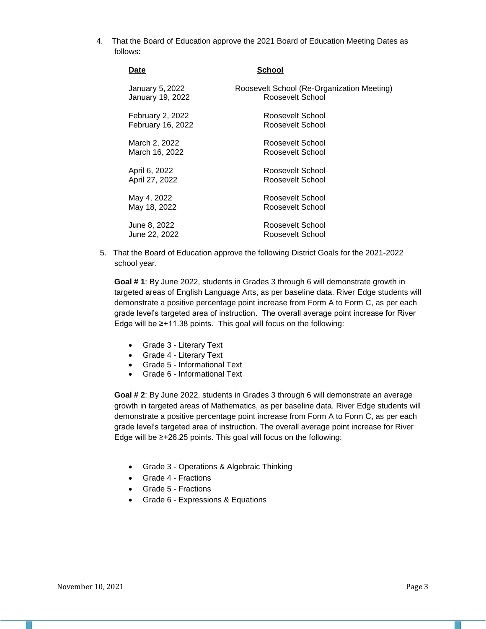4. That the Board of Education approve the 2021 Board of Education Meeting Dates as follows:

| Date              | School                                     |
|-------------------|--------------------------------------------|
| January 5, 2022   | Roosevelt School (Re-Organization Meeting) |
| January 19, 2022  | Roosevelt School                           |
| February 2, 2022  | Roosevelt School                           |
| February 16, 2022 | Roosevelt School                           |
| March 2, 2022     | Roosevelt School                           |
| March 16, 2022    | Roosevelt School                           |
| April 6, 2022     | Roosevelt School                           |
| April 27, 2022    | Roosevelt School                           |
| May 4, 2022       | Roosevelt School                           |
| May 18, 2022      | Roosevelt School                           |
| June 8, 2022      | Roosevelt School                           |
| June 22, 2022     | Roosevelt School                           |

5. That the Board of Education approve the following District Goals for the 2021-2022 school year.

**Goal # 1**: By June 2022, students in Grades 3 through 6 will demonstrate growth in targeted areas of English Language Arts, as per baseline data. River Edge students will demonstrate a positive percentage point increase from Form A to Form C, as per each grade level's targeted area of instruction. The overall average point increase for River Edge will be ≥+11.38 points. This goal will focus on the following:

- Grade 3 Literary Text
- Grade 4 Literary Text
- Grade 5 Informational Text
- Grade 6 Informational Text

**Goal # 2**: By June 2022, students in Grades 3 through 6 will demonstrate an average growth in targeted areas of Mathematics, as per baseline data. River Edge students will demonstrate a positive percentage point increase from Form A to Form C, as per each grade level's targeted area of instruction. The overall average point increase for River Edge will be ≥+26.25 points. This goal will focus on the following:

- Grade 3 Operations & Algebraic Thinking
- Grade 4 Fractions
- Grade 5 Fractions
- Grade 6 Expressions & Equations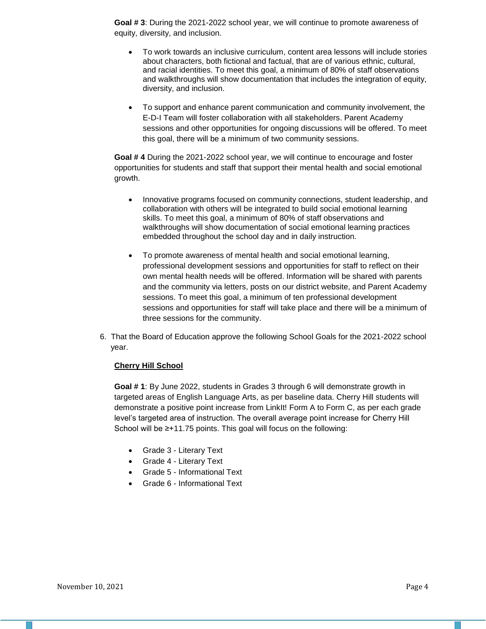**Goal # 3**: During the 2021-2022 school year, we will continue to promote awareness of equity, diversity, and inclusion.

- To work towards an inclusive curriculum, content area lessons will include stories about characters, both fictional and factual, that are of various ethnic, cultural, and racial identities. To meet this goal, a minimum of 80% of staff observations and walkthroughs will show documentation that includes the integration of equity, diversity, and inclusion.
- To support and enhance parent communication and community involvement, the E-D-I Team will foster collaboration with all stakeholders. Parent Academy sessions and other opportunities for ongoing discussions will be offered. To meet this goal, there will be a minimum of two community sessions.

**Goal # 4** During the 2021-2022 school year, we will continue to encourage and foster opportunities for students and staff that support their mental health and social emotional growth.

- Innovative programs focused on community connections, student leadership, and collaboration with others will be integrated to build social emotional learning skills. To meet this goal, a minimum of 80% of staff observations and walkthroughs will show documentation of social emotional learning practices embedded throughout the school day and in daily instruction.
- To promote awareness of mental health and social emotional learning, professional development sessions and opportunities for staff to reflect on their own mental health needs will be offered. Information will be shared with parents and the community via letters, posts on our district website, and Parent Academy sessions. To meet this goal, a minimum of ten professional development sessions and opportunities for staff will take place and there will be a minimum of three sessions for the community.
- 6. That the Board of Education approve the following School Goals for the 2021-2022 school year.

### **Cherry Hill School**

**Goal # 1**: By June 2022, students in Grades 3 through 6 will demonstrate growth in targeted areas of English Language Arts, as per baseline data. Cherry Hill students will demonstrate a positive point increase from LinkIt! Form A to Form C, as per each grade level's targeted area of instruction. The overall average point increase for Cherry Hill School will be ≥+11.75 points. This goal will focus on the following:

- Grade 3 Literary Text
- Grade 4 Literary Text
- Grade 5 Informational Text
- Grade 6 Informational Text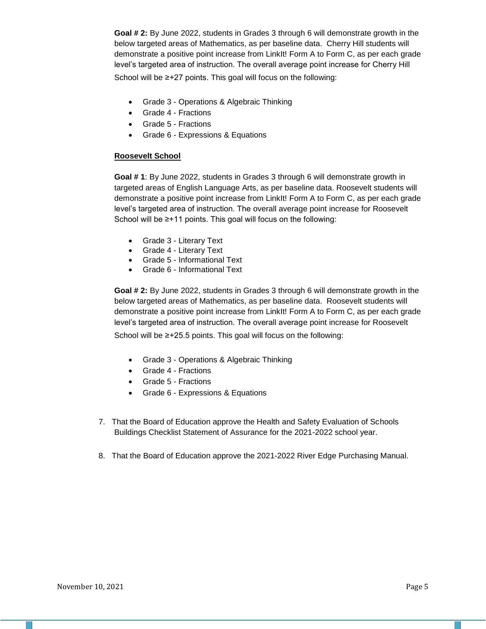**Goal # 2:** By June 2022, students in Grades 3 through 6 will demonstrate growth in the below targeted areas of Mathematics, as per baseline data. Cherry Hill students will demonstrate a positive point increase from LinkIt! Form A to Form C, as per each grade level's targeted area of instruction. The overall average point increase for Cherry Hill

School will be ≥+27 points. This goal will focus on the following:

- Grade 3 Operations & Algebraic Thinking
- Grade 4 Fractions
- Grade 5 Fractions
- Grade 6 Expressions & Equations

# **Roosevelt School**

**Goal # 1**: By June 2022, students in Grades 3 through 6 will demonstrate growth in targeted areas of English Language Arts, as per baseline data. Roosevelt students will demonstrate a positive point increase from LinkIt! Form A to Form C, as per each grade level's targeted area of instruction. The overall average point increase for Roosevelt School will be ≥+11 points. This goal will focus on the following:

- Grade 3 Literary Text
- Grade 4 Literary Text
- Grade 5 Informational Text
- Grade 6 Informational Text

**Goal # 2:** By June 2022, students in Grades 3 through 6 will demonstrate growth in the below targeted areas of Mathematics, as per baseline data. Roosevelt students will demonstrate a positive point increase from LinkIt! Form A to Form C, as per each grade level's targeted area of instruction. The overall average point increase for Roosevelt

School will be ≥+25.5 points. This goal will focus on the following:

- Grade 3 Operations & Algebraic Thinking
- Grade 4 Fractions
- Grade 5 Fractions
- Grade 6 Expressions & Equations
- 7. That the Board of Education approve the Health and Safety Evaluation of Schools Buildings Checklist Statement of Assurance for the 2021-2022 school year.
- 8. That the Board of Education approve the 2021-2022 River Edge Purchasing Manual.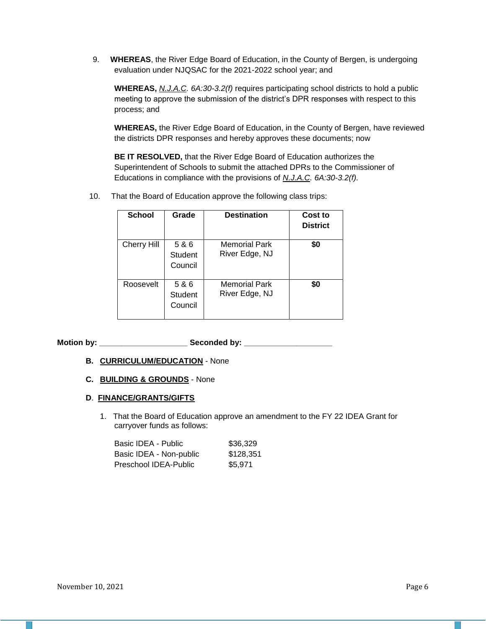9. **WHEREAS**, the River Edge Board of Education, in the County of Bergen, is undergoing evaluation under NJQSAC for the 2021-2022 school year; and

**WHEREAS,** *N.J.A.C. 6A:30-3.2(f)* requires participating school districts to hold a public meeting to approve the submission of the district's DPR responses with respect to this process; and

**WHEREAS,** the River Edge Board of Education, in the County of Bergen, have reviewed the districts DPR responses and hereby approves these documents; now

**BE IT RESOLVED,** that the River Edge Board of Education authorizes the Superintendent of Schools to submit the attached DPRs to the Commissioner of Educations in compliance with the provisions of *N.J.A.C. 6A:30-3.2(f).*

10. That the Board of Education approve the following class trips:

| <b>School</b>      | Grade                              | <b>Destination</b>                     | Cost to<br><b>District</b> |
|--------------------|------------------------------------|----------------------------------------|----------------------------|
| <b>Cherry Hill</b> | 5 & 6<br>Student<br>Council        | <b>Memorial Park</b><br>River Edge, NJ | \$0                        |
| Roosevelt          | 5 & 6<br><b>Student</b><br>Council | <b>Memorial Park</b><br>River Edge, NJ | \$0                        |

**Motion by: \_\_\_\_\_\_\_\_\_\_\_\_\_\_\_\_\_\_\_\_ Seconded by: \_\_\_\_\_\_\_\_\_\_\_\_\_\_\_\_\_\_\_\_**

### **B. CURRICULUM/EDUCATION** - None

**C. BUILDING & GROUNDS** - None

### **D**. **FINANCE/GRANTS/GIFTS**

1. That the Board of Education approve an amendment to the FY 22 IDEA Grant for carryover funds as follows:

| Basic IDEA - Public     | \$36,329  |
|-------------------------|-----------|
| Basic IDEA - Non-public | \$128.351 |
| Preschool IDEA-Public   | \$5.971   |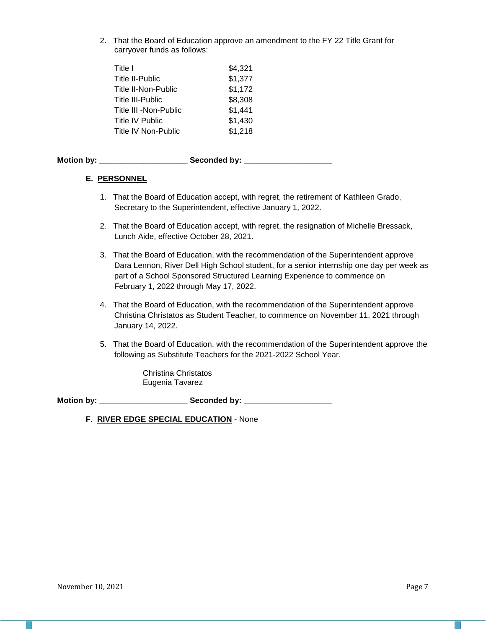2. That the Board of Education approve an amendment to the FY 22 Title Grant for carryover funds as follows:

| Title I                 | \$4,321 |
|-------------------------|---------|
| <b>Title II-Public</b>  | \$1,377 |
| Title II-Non-Public     | \$1,172 |
| <b>Title III-Public</b> | \$8,308 |
| Title III - Non-Public  | \$1,441 |
| Title IV Public         | \$1,430 |
| Title IV Non-Public     | \$1,218 |

| <b>Motion by:</b> | Seconded by: |  |
|-------------------|--------------|--|
|                   |              |  |
|                   |              |  |

### **E. PERSONNEL**

- 1. That the Board of Education accept, with regret, the retirement of Kathleen Grado, Secretary to the Superintendent, effective January 1, 2022.
- 2. That the Board of Education accept, with regret, the resignation of Michelle Bressack, Lunch Aide, effective October 28, 2021.
- 3. That the Board of Education, with the recommendation of the Superintendent approve Dara Lennon, River Dell High School student, for a senior internship one day per week as part of a School Sponsored Structured Learning Experience to commence on February 1, 2022 through May 17, 2022.
- 4. That the Board of Education, with the recommendation of the Superintendent approve Christina Christatos as Student Teacher, to commence on November 11, 2021 through January 14, 2022.
- 5. That the Board of Education, with the recommendation of the Superintendent approve the following as Substitute Teachers for the 2021-2022 School Year.

Christina Christatos Eugenia Tavarez

Motion by: \_\_\_\_\_\_\_\_\_\_\_\_\_\_\_\_\_\_\_\_\_\_\_\_\_\_\_\_\_\_Seconded by: \_\_\_\_\_\_\_\_\_\_\_\_\_\_\_\_\_\_\_\_\_\_\_\_\_\_\_

**F**. **RIVER EDGE SPECIAL EDUCATION** - None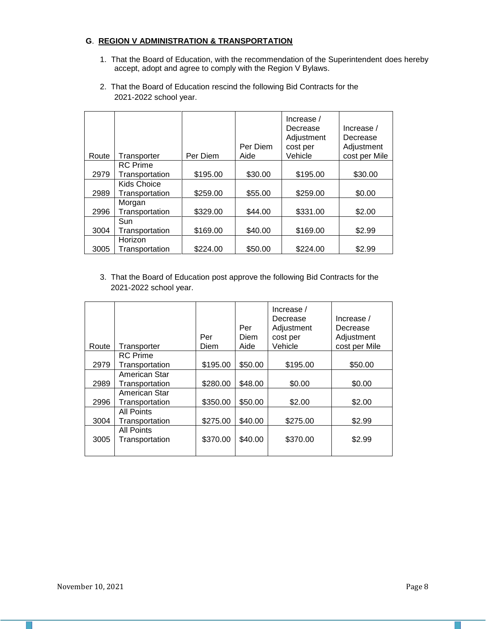## **G**. **REGION V ADMINISTRATION & TRANSPORTATION**

1. That the Board of Education, with the recommendation of the Superintendent does hereby accept, adopt and agree to comply with the Region V Bylaws.

|       |                 |          |          | Increase / |               |
|-------|-----------------|----------|----------|------------|---------------|
|       |                 |          |          | Decrease   | Increase $/$  |
|       |                 |          |          | Adjustment | Decrease      |
|       |                 |          | Per Diem | cost per   | Adjustment    |
| Route | Transporter     | Per Diem | Aide     | Vehicle    | cost per Mile |
|       | <b>RC</b> Prime |          |          |            |               |
| 2979  | Transportation  | \$195.00 | \$30.00  | \$195.00   | \$30.00       |
|       | Kids Choice     |          |          |            |               |
| 2989  | Transportation  | \$259.00 | \$55.00  | \$259.00   | \$0.00        |
|       | Morgan          |          |          |            |               |
| 2996  | Transportation  | \$329.00 | \$44.00  | \$331.00   | \$2.00        |
|       | Sun             |          |          |            |               |
| 3004  | Transportation  | \$169.00 | \$40.00  | \$169.00   | \$2.99        |
|       | Horizon         |          |          |            |               |
| 3005  | Transportation  | \$224.00 | \$50.00  | \$224.00   | \$2.99        |

2. That the Board of Education rescind the following Bid Contracts for the 2021-2022 school year.

3. That the Board of Education post approve the following Bid Contracts for the 2021-2022 school year.

| Route | Transporter     | Per<br>Diem | Per<br>Diem<br>Aide | Increase $/$<br>Decrease<br>Adjustment<br>cost per<br>Vehicle | Increase $/$<br>Decrease<br>Adjustment<br>cost per Mile |
|-------|-----------------|-------------|---------------------|---------------------------------------------------------------|---------------------------------------------------------|
|       | <b>RC</b> Prime |             |                     |                                                               |                                                         |
| 2979  | Transportation  | \$195.00    | \$50.00             | \$195.00                                                      | \$50.00                                                 |
|       | American Star   |             |                     |                                                               |                                                         |
| 2989  | Transportation  | \$280.00    | \$48.00             | \$0.00                                                        | \$0.00                                                  |
|       | American Star   |             |                     |                                                               |                                                         |
| 2996  | Transportation  | \$350.00    | \$50.00             | \$2.00                                                        | \$2.00                                                  |
|       | All Points      |             |                     |                                                               |                                                         |
| 3004  | Transportation  | \$275.00    | \$40.00             | \$275.00                                                      | \$2.99                                                  |
|       | All Points      |             |                     |                                                               |                                                         |
| 3005  | Transportation  | \$370.00    | \$40.00             | \$370.00                                                      | \$2.99                                                  |